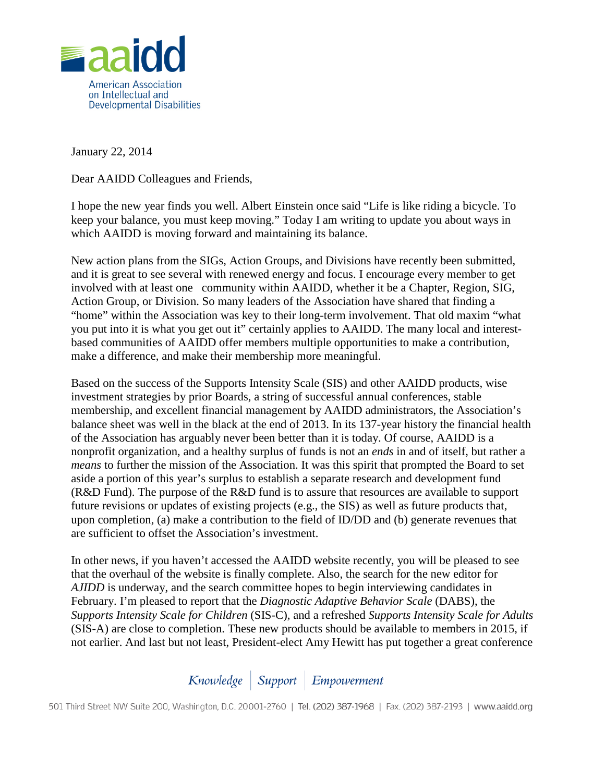

January 22, 2014

Dear AAIDD Colleagues and Friends,

I hope the new year finds you well. Albert Einstein once said "Life is like riding a bicycle. To keep your balance, you must keep moving." Today I am writing to update you about ways in which AAIDD is moving forward and maintaining its balance.

New action plans from the SIGs, Action Groups, and Divisions have recently been submitted, and it is great to see several with renewed energy and focus. I encourage every member to get involved with at least one community within AAIDD, whether it be a Chapter, Region, SIG, Action Group, or Division. So many leaders of the Association have shared that finding a "home" within the Association was key to their long-term involvement. That old maxim "what you put into it is what you get out it" certainly applies to AAIDD. The many local and interestbased communities of AAIDD offer members multiple opportunities to make a contribution, make a difference, and make their membership more meaningful.

Based on the success of the Supports Intensity Scale (SIS) and other AAIDD products, wise investment strategies by prior Boards, a string of successful annual conferences, stable membership, and excellent financial management by AAIDD administrators, the Association's balance sheet was well in the black at the end of 2013. In its 137-year history the financial health of the Association has arguably never been better than it is today. Of course, AAIDD is a nonprofit organization, and a healthy surplus of funds is not an *ends* in and of itself, but rather a *means* to further the mission of the Association. It was this spirit that prompted the Board to set aside a portion of this year's surplus to establish a separate research and development fund (R&D Fund). The purpose of the R&D fund is to assure that resources are available to support future revisions or updates of existing projects (e.g., the SIS) as well as future products that, upon completion, (a) make a contribution to the field of ID/DD and (b) generate revenues that are sufficient to offset the Association's investment.

In other news, if you haven't accessed the AAIDD website recently, you will be pleased to see that the overhaul of the website is finally complete. Also, the search for the new editor for *AJIDD* is underway, and the search committee hopes to begin interviewing candidates in February. I'm pleased to report that the *Diagnostic Adaptive Behavior Scale* (DABS), the *Supports Intensity Scale for Children* (SIS-C), and a refreshed *Supports Intensity Scale for Adults* (SIS-A) are close to completion. These new products should be available to members in 2015, if not earlier. And last but not least, President-elect Amy Hewitt has put together a great conference

Knowledge | Support | Empowerment

501 Third Street NW Suite 200, Washington, D.C. 20001-2760 | Tel. (202) 387-1968 | Fax. (202) 387-2193 | www.aaidd.org